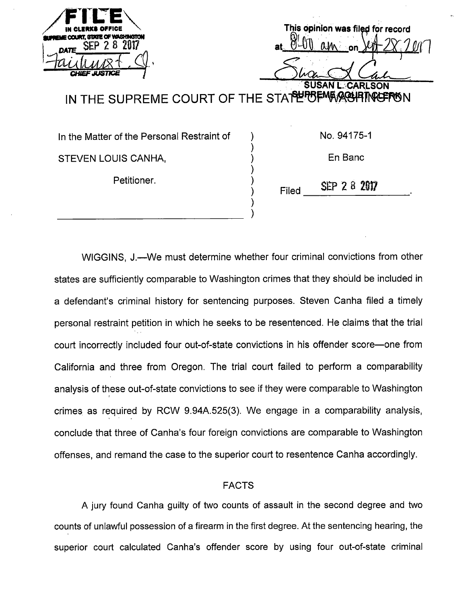| IN CLERKS OFFICE<br>EME COURT, STATE OF WASHINGTON<br><b>DATE</b><br>CHIEF JUSTICE | This opinion was filed for record<br><b>SUSAN</b><br>CARLSON |
|------------------------------------------------------------------------------------|--------------------------------------------------------------|
|                                                                                    | IN THE SUPREME COURT OF THE STAPEPORT MARKERON               |
|                                                                                    |                                                              |

 $\mathcal{E}$ 

In the Matter of the Personal Restraint of STEVEN LOUIS CANHA,

Petitioner.

No. 94175-1

En Banc

Filed **SEP 2 8 2017** 

WIGGINS, J.—\Ne must determine whether four criminal convictions from other states are sufficiently comparable to Washington crimes that they should be included in a defendant's criminal history for sentencing purposes. Steven Canha filed a timely personal restraint petition in which he seeks to be resentenced. He claims that the trial court incorrectly included four out-of-state convictions in his offender score—one from California and three from Oregon. The trial court failed to perform a comparability analysis of these out-of-state convictions to see if they were comparable to Washington crimes as required by ROW 9.94A.525(3). We engage in a comparability analysis, conclude that three of Canha's four foreign convictions are comparable to Washington offenses, and remand the case to the superior court to resentence Canha accordingly.

# FACTS

A jury found Canha guilty of two counts of assault in the second degree and two counts of unlawful possession of a firearm in the first degree. At the sentencing hearing, the superior court calculated Canha's offender score by using four out-of-state criminal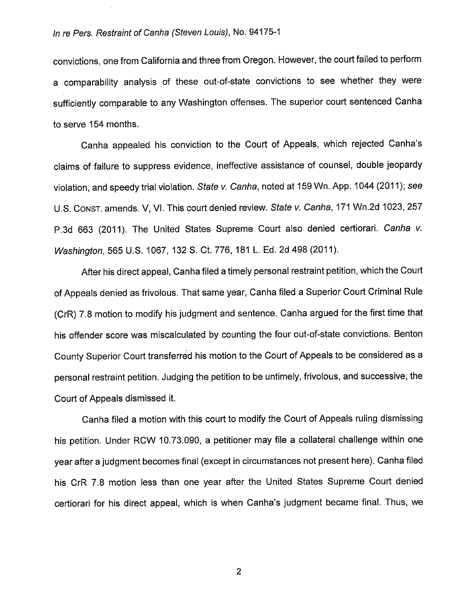convictions, one from California and three from Oregon. However, the court failed to perform a comparability analysis of these out-of-state convictions to see whether they were sufficiently comparable to any Washington offenses. The superior court sentenced Canha to serve 154 months.

Canha appealed his conviction to the Court of Appeals, which rejected Canha's claims of failure to suppress evidence, ineffective assistance of counsel, double jeopardy violation, and speedy trial violation. State v. Canha, noted at 159 Wn. App. 1044 (2011); see U.S. CONST. amends. V, VI. This court denied review. State v. Canha, 171 Wn.2d 1023, 257 P.3d 663 (2011). The United States Supreme Court also denied certiorari. Canha v. Washington, 565 U.S. 1067, 132 S. Ct. 776, 181 L. Ed. 2d 498 (2011).

After his direct appeal, Canha filed a timely personal restraint petition, which the Court of Appeals denied as frivolous. That same year, Canha filed a Superior Court Criminal Rule (CrR) 7.8 motion to modify his judgment and sentence. Canha argued for the first time that his offender score was miscalculated by counting the four out-of-state convictions. Benton County Superior Court transferred his motion to the Court of Appeals to be considered as a personal restraint petition. Judging the petition to be untimely, frivolous, and successive, the Court of Appeals dismissed it.

Canha filed a motion with this court to modify the Court of Appeals ruling dismissing his petition. Under RCW 10.73.090, a petitioner may file a collateral challenge within one year after a judgment becomes final (except in circumstances not present here). Canha filed his CrR 7.8 motion less than one year after the United States Supreme Court denied certiorari for his direct appeal, which is when Canha's judgment became final. Thus, we

 $\overline{2}$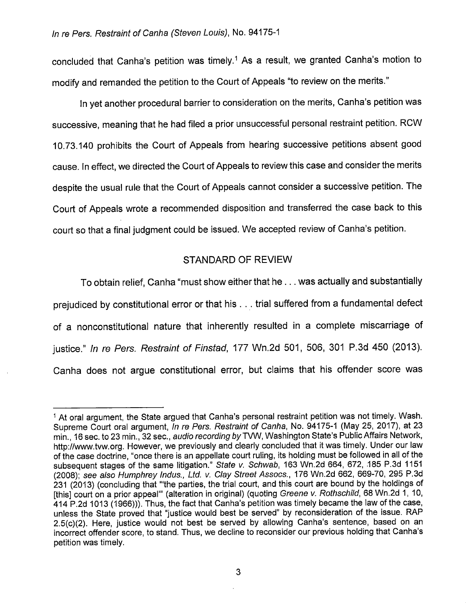concluded that Canha's petition was timely.<sup>1</sup> As a result, we granted Canha's motion to modify and remanded the petition to the Court of Appeals "to review on the merits."

In yet another procedural barrier to consideration on the merits, Canha's petition was successive, meaning that he had filed a prior unsuccessful personal restraint petition. RCW 10.73.140 prohibits the Court of Appeals from hearing successive petitions absent good cause. In effect, we directed the Court of Appeals to review this case and consider the merits despite the usual rule that the Court of Appeals cannot consider a successive petition. The Court of Appeals wrote a recommended disposition and transferred the case back to this court so that a final judgment could be issued. We accepted review of Canha's petition.

# STANDARD OF REVIEW

To obtain relief, Canha "must show either that he... was actually and substantially prejudiced by constitutional error or that his . . . trial suffered from a fundamental defect of a nonconstitutional nature that inherently resulted in a complete miscarriage of justice." In re Pers. Restraint of Finstad, 177 Wn.2d 501, 506, 301 P.3d 450 (2013). Canha does not argue constitutional error, but claims that his offender score was

<sup>&</sup>lt;sup>1</sup> At oral argument, the State argued that Canha's personal restraint petition was not timely. Wash. Supreme Court oral argument, In re Pers. Restraint of Canha, No. 94175-1 (May 25, 2017), at 23 min., 16 sec. to 23 min., 32 sec., audio recording by TVW, Washington State's Public Affairs Network, http://www.tvw.org. However, we previously and clearly concluded that it was timely. Under our law of the case doctrine, "once there is an appellate court ruling, its holding must be followed in all of the subsequent stages of the same litigation." State v. Schwab, 163 Wn.2d 664, 672, 185 P.3d 1151 (2008); see also Humphrey Indus., Ltd. v. Clay Street Assocs., 176 Wn.2d 662, 669-70, 295 P.3d 231 (2013) (concluding that '"the parties, the trial court, and this court are bound by the holdings of [this] court on a prior appeal" (alteration in original) (quoting Greene v. Rothschild, 68 Wn.2d 1, 10, 414 P.2d 1013 (1966))). Thus, the fact that Canha's petition was timely became the law of the case, unless the State proved that "justice would best be served" by reconsideration of the issue. RAP 2.5(c)(2). Here, justice would not best be served by allowing Canha's sentence, based on an incorrect offender score, to stand. Thus, we decline to reconsider our previous holding that Canha's petition was timely.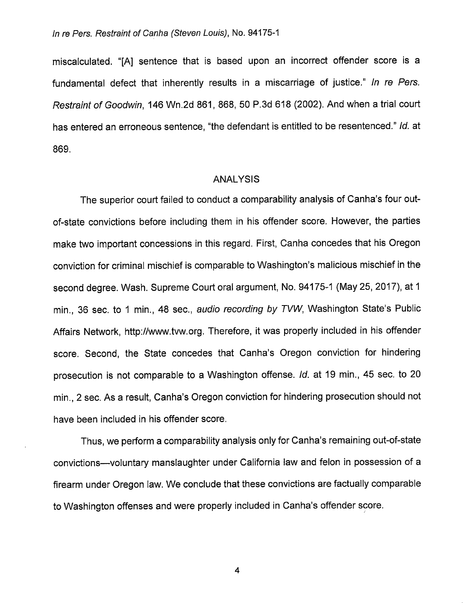miscalculated. "[A] sentence that is based upon an incorrect offender score is a fundamental defect that inherently results in a miscarriage of iustice." In re Pers. Restraint of Goodwin, 146 Wn.2d 861, 868, 50 P.3d 618 (2002). And when a trial court has entered an erroneous sentence, "the defendant is entitled to be resentenced." Id. at 869.

### ANALYSIS

The superior court failed to conduct a comparability analysis of Canha's four outof-state convictions before including them in his offender score. However, the parties make two important concessions in this regard. First, Canha concedes that his Oregon conviction for criminal mischief is comparable to Washington's malicious mischief in the second degree. Wash. Supreme Court oral argument. No. 94175-1 (May 25, 2017), at 1 min., 36 sec. to 1 min., 48 sec., audio recording by TVW, Washington State's Public Affairs Network, http://www.tvw.org. Therefore, it was properly included in his offender score. Second, the State concedes that Canha's Oregon conviction for hindering prosecution is not comparable to a Washington offense, id. at 19 min., 45 sec. to 20 min., 2 sec. As a result, Canha's Oregon conviction for hindering prosecution should not have been included in his offender score.

Thus, we perform a comparability analysis only for Canha's remaining out-of-state convictions—voluntary manslaughter under California law and felon in possession of a firearm under Oregon law. We conclude that these convictions are factually comparable to Washington offenses and were properly included in Canha's offender score.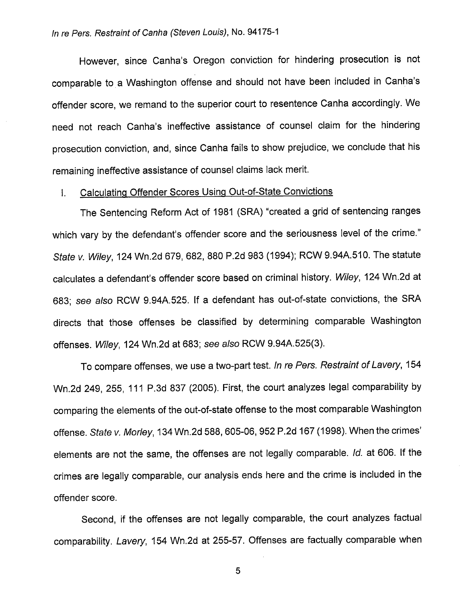However, since Canha's Oregon conviction for hindering prosecution is not comparable to a Washington offense and should not have been included in Canha's offender score, we remand to the superior court to resentence Canha accordingly. We need not reach Canha's ineffective assistance of counsel claim for the hindering prosecution conviction, and, since Canha fails to show prejudice, we conclude that his remaining ineffective assistance of counsel claims lack merit.

# 1. Calculating Offender Scores Using Out-of-State Convictions

The Sentencing Reform Act of 1981 (SRA) "created a grid of sentencing ranges which vary by the defendant's offender score and the seriousness level of the crime." State V. Wiley, 124 Wn.2d 679, 682, 880 P.2d 983 (1994); RCW 9.94A.510. The statute calculates a defendant's offender score based on criminal history. Wiley, 124 Wn.2d at 683; see also RCW 9.94A.525. If a defendant has out-of-state convictions, the SRA directs that those offenses be classified by determining comparable Washington offenses. Wiley, 124 Wn.2d at 683; see also RCW 9.94A.525(3).

To compare offenses, we use a two-part test. In re Pers. Restraint of Lavery, 154 Wn.2d 249, 255, 111 P.3d 837 (2005). First, the court analyzes legal comparability by comparing the elements of the out-of-state offense to the most comparable Washington offense. State v. Moriey, 134 Wn.2d 588, 605-06, 952 P.2d 167 (1998). When the crimes' elements are not the same, the offenses are not legally comparable, id. at 606. If the crimes are legally comparable, our analysis ends here and the crime is included in the offender score.

Second, if the offenses are not legally comparable, the court analyzes factual comparability. Lavery, 154 Wn.2d at 255-57. Offenses are factually comparable when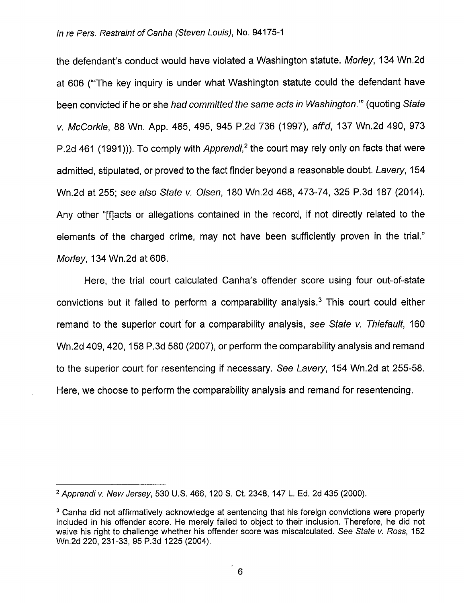the defendant's conduct would have violated a Washington statute. Morley, 134 Wn.2d at 606 ("The key inquiry is under what Washington statute could the defendant have been convicted if he or she had committed the same acts in Washington.'" (quoting State V. McCorkie, 88 Wn. App. 485, 495, 945 P.2d 736 (1997), aff'd, 137 Wn.2d 490, 973 P.2d 461 (1991))). To comply with *Apprendi*,<sup>2</sup> the court may rely only on facts that were admitted, stipulated, or proved to the fact finder beyond a reasonable doubt. Lavery, 154 Wn.2d at 255; see also State v. Olsen, 180 Wn.2d 468, 473-74, 325 P.3d 187 (2014). Any other "[f]acts or allegations contained in the record, if not directly related to the elements of the charged crime, may not have been sufficiently proven in the trial." Morley, 134 Wn.2d at 606.

Here, the trial court calculated Canha's offender score using four out-of-state convictions but it failed to perform a comparability analysis.<sup>3</sup> This court could either remand to the superior court for a comparability analysis, see State v. Thiefault, 160 Wn.2d 409, 420, 158 P.3d 580 (2007), or perform the comparability analysis and remand to the superior court for resentencing if necessary. See Lavery, 154 Wn.2d at 255-58. Here, we choose to perform the comparability analysis and remand for resentencing.

<sup>2</sup> Apprendi v. New Jersey, 530 U.S. 466, 120 8. Ct. 2348, 147 L. Ed. 2d 435 (2000).

<sup>&</sup>lt;sup>3</sup> Canha did not affirmatively acknowledge at sentencing that his foreign convictions were properly included in his offender score. He merely failed to object to their inclusion. Therefore, he did not waive his right to challenge whether his offender score was miscalculated. See State v. Ross, 152 Wn.2d 220, 231-33, 95 P.3d 1225 (2004).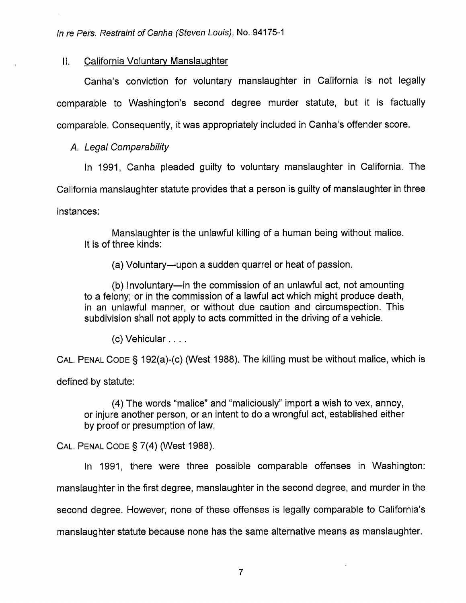## II. California Voluntary Manslaughter

Canha's conviction for voluntary manslaughter in California is not legally comparable to Washington's second degree murder statute, but it is factually comparable. Consequently, it was appropriately included in Canha's offender score.

### A. Legal Comparability

In 1991, Canha pleaded guilty to voluntary manslaughter in California. The

California manslaughter statute provides that a person is guilty of manslaughter in three

instances:

Manslaughter is the unlawful killing of a human being without malice. It is of three kinds:

(a) Voluntary—upon a sudden quarrel or heat of passion.

(b) Involuntary—in the commission of an unlawful act, not amounting to a felony; or in the commission of a lawful act which might produce death, in an unlawful manner, or without due caution and circumspection. This subdivision shall not apply to acts committed in the driving of a vehicle.

(c) Vehicular. . . .

Cal. Penal Code § 192(a)-(c) (West 1988). The killing must be without malice, which is

defined by statute:

(4) The words "malice" and "maliciously" import a wish to vex, annoy, or injure another person, or an intent to do a wrongful act, established either by proof or presumption of law.

Cal. Penal Code § 7(4) (West 1988).

In 1991, there were three possible comparable offenses in Washington: manslaughter in the first degree, manslaughter in the second degree, and murder in the second degree. However, none of these offenses is legally comparable to California's manslaughter statute because none has the same alternative means as manslaughter.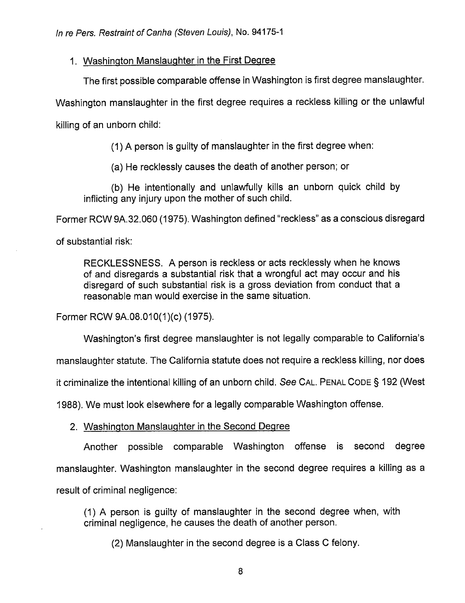# 1. Washington Manslaughter in the First Degree

The first possible comparable offense in Washington is first degree manslaughter.

Washington manslaughter in the first degree requires a reckless killing or the unlawful

killing of an unborn child:

(1) A person is guilty of manslaughter in the first degree when:

(a) He recklessly causes the death of another person; or

(b) He intentionally and unlawfully kills an unborn quick child by inflicting any injury upon the mother of such child.

Former RCW 9A.32.060 (1975). Washington defined "reckless" as a conscious disregard

of substantial risk:

RECKLESSNESS. A person is reckless or acts recklessly when he knows of and disregards a substantial risk that a wrongful act may occur and his disregard of such substantial risk is a gross deviation from conduct that a reasonable man would exercise in the same situation.

Former RCW 9A.08.010(1)(c) (1975).

Washington's first degree manslaughter is not legally comparable to California's

manslaughter statute. The California statute does not require a reckless killing, nor does

it criminalize the intentional killing of an unborn child. See CAL. PENAL CODE § 192 (West

1988). We must look elsewhere for a legally comparable Washington offense.

# 2. Washington Manslaughter in the Second Degree

Another possible comparable Washington offense is second degree manslaughter. Washington manslaughter in the second degree requires a killing as a result of criminal negligence:

(1) A person is guilty of manslaughter in the second degree when, with criminal negligence, he causes the death of another person.

(2) Manslaughter in the second degree is a Class C felony.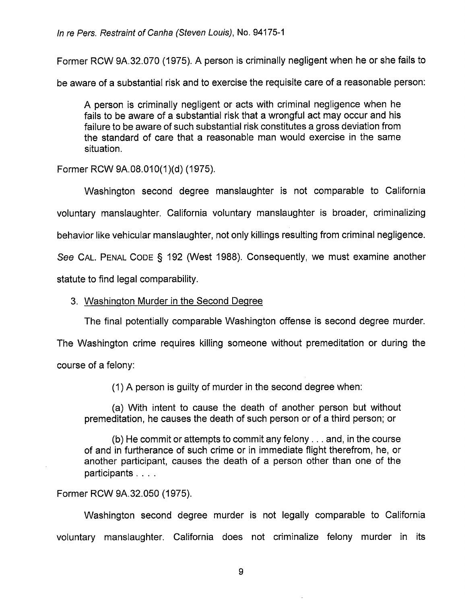Former RCW 9A.32.070 (1975). A person is criminally negligent when he or she fails to

be aware of a substantial risk and to exercise the requisite care of a reasonable person:

A person is criminally negligent or acts with criminal negligence when he fails to be aware of a substantial risk that a wrongful act may occur and his failure to be aware of such substantial risk constitutes a gross deviation from the standard of care that a reasonable man would exercise in the same situation.

Former RCW 9A.08.010(1)(d) (1975).

Washington second degree manslaughter is not comparable to California voluntary manslaughter. California voluntary manslaughter is broader, criminalizing behavior like vehicular manslaughter, not only killings resulting from criminal negligence.

See CAL. PENAL CODE § 192 (West 1988). Consequently, we must examine another

statute to find legal comparability.

# 3. Washington Murder in the Second Degree

The final potentially comparable Washington offense is second degree murder.

The Washington crime requires killing someone without premeditation or during the course of a felony:

(1) A person is guilty of murder in the second degree when:

(a) With intent to cause the death of another person but without premeditation, he causes the death of such person or of a third person; or

(b) He commit or attempts to commit any felony.. . and, in the course of and in furtherance of such crime or in immediate flight therefrom, he, or another participant, causes the death of a person other than one of the participants . . . .

# Former RCW 9A.32.050 (1975).

Washington second degree murder is not legally comparable to California voluntary manslaughter. California does not criminalize felony murder in its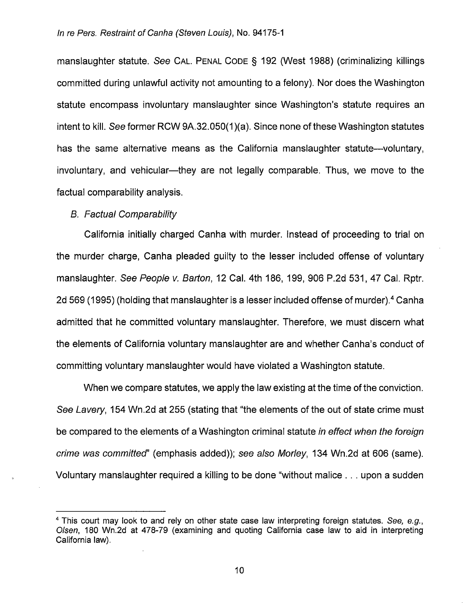manslaughter statute. See Cal. Penal Code § 192 (West 1988) (criminalizing killings committed during unlawful activity not amounting to a felony). Nor does the Washington statute encompass involuntary manslaughter since Washington's statute requires an intent to kill. See former ROW 9A.32.050(1 )(a). Since none of these Washington statutes has the same alternative means as the California manslaughter statute—voluntary, involuntary, and vehicular—they are not legally comparable. Thus, we move to the factual comparability analysis.

## B. Factual Comparability

California initially charged Canha with murder. Instead of proceeding to trial on the murder charge, Canha pleaded guilty to the lesser included offense of voluntary manslaughter. See People v. Barton, 12 Cal. 4th 186, 199, 906 P.2d 531, 47 Cal. Rptr. 2d 569 (1995) (holding that manslaughter is a lesser included offense of murder).<sup>4</sup> Canha admitted that he committed voluntary manslaughter. Therefore, we must discern what the elements of California voluntary manslaughter are and whether Canha's conduct of committing voluntary manslaughter would have violated a Washington statute.

When we compare statutes, we apply the law existing at the time of the conviction. See Lavery, 154 Wn.2d at 255 (stating that "the elements of the out of state crime must be compared to the elements of a Washington criminal statute in effect when the foreign crime was committed' (emphasis added)); see also Moriey, 134 Wn.2d at 606 (same). Voluntary manslaughter required a killing to be done "without malice . . . upon a sudden

<sup>&</sup>lt;sup>4</sup> This court may look to and rely on other state case law interpreting foreign statutes. See, e.g., Oisen, 180 Wn.2d at 478-79 (examining and quoting California case law to aid in interpreting California law).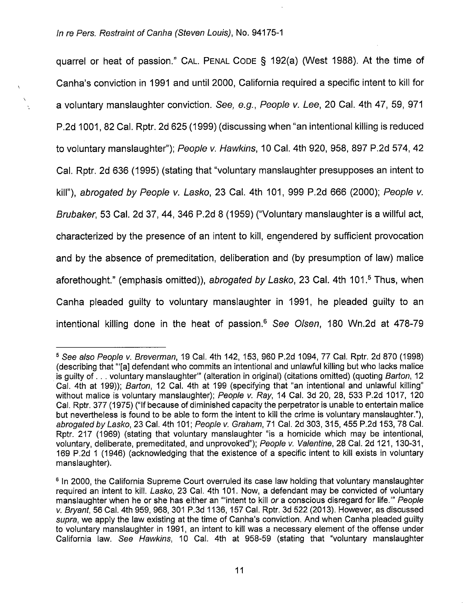quarrel or heat of passion." CAL. PENAL CODE § 192(a) (West 1988). At the time of Canha's conviction in 1991 and until 2000, California required a specific intent to kill for a voluntary manslaughter conviction. See, e.g., People v. Lee, 20 Cal. 4th 47, 59, 971 P.2d 1001, 82 Cal. Rptr. 2d 625 (1999) (discussing when "an intentional killing is reduced to voluntary manslaughter"); People v. Hawkins, 10 Cal. 4th 920, 958, 897 P.2d 574, 42 Cal. Rptr. 2d 636 (1995) (stating that "voluntary manslaughter presupposes an intent to kill"), abrogated by People v. Lasko, 23 Cal. 4th 101, 999 P.2d 666 (2000); People v. Brubaker, 53 Cal. 2d 37, 44, 346 P.2d 8 (1959) ("Voluntary manslaughter is a willful act, characterized by the presence of an intent to kill, engendered by sufficient provocation and by the absence of premeditation, deliberation and (by presumption of law) malice aforethought." (emphasis omitted)), abrogated by Lasko, 23 Cal. 4th 101.<sup>5</sup> Thus, when Canha pleaded guilty to voluntary manslaughter in 1991, he pleaded guilty to an intentional killing done in the heat of passion.® See Olsen, 180 Wn.2d at 478-79

<sup>®</sup> See also People v. Breverman, 19 Cal. 4th 142, 153, 960 P.2d 1094, 77 Cal. Rptr. 2d 870 (1998) (describing that '"[a] defendant who commits an intentional and unlawful killing but who lacks malice is guilty of . . . voluntary manslaughter" (alteration in original) (citations omitted) (quoting Barton, 12 Cal. 4th at 199)); Barton, 12 Cal. 4th at 199 (specifying that "an intentional and unlawful killing" without malice is voluntary manslaughter); People v. Ray, 14 Cal. 3d 20, 28, 533 P.2d 1017, 120 Cal. Rptr. 377 (1975) ("If because of diminished capacity the perpetrator is unable to entertain malice but nevertheless is found to be able to form the intent to kill the crime is voluntary manslaughter."), abrogated by Lasko, 23 Cal. 4th 101; People v. Graham, 71 Cal. 2d 303, 315, 455 P.2d 153, 78 Cal. Rptr. 217 (1969) (stating that voluntary manslaughter "is a homicide which may be intentional, voluntary, deliberate, premeditated, and unprovoked"); People v. Valentine, 28 Cal. 2d 121, 130-31, 169 P.2d 1 (1946) (acknowledging that the existence of a specific intent to kill exists in voluntary manslaughter).

<sup>®</sup> In 2000, the California Supreme Court overruled its case law holding that voluntary manslaughter required an intent to kill. Lasko, 23 Cal. 4th 101. Now, a defendant may be convicted of voluntary manslaughter when he or she has either an "'intent to kill or a conscious disregard for life."" People v. Bryant, 56 Cal. 4th 959, 968, 301 P.3d 1136, 157 Cal. Rptr. 3d 522 (2013). However, as discussed supra, we apply the law existing at the time of Canha's conviction. And when Canha pleaded guilty to voluntary manslaughter in 1991, an intent to kill was a necessary element of the offense under California law. See Hawkins, 10 Cal. 4th at 958-59 (stating that "voluntary manslaughter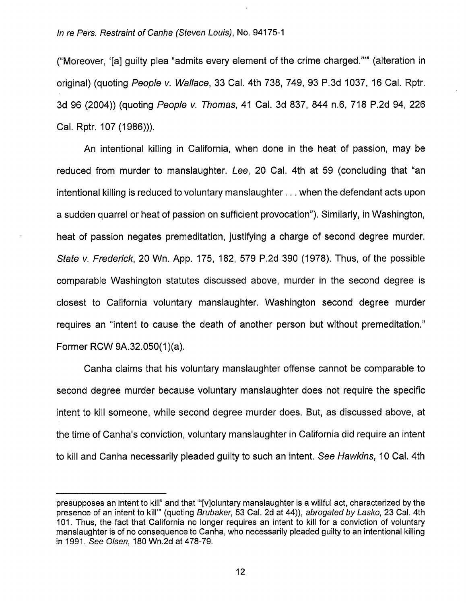("Moreover, '[a] guilty plea "admits every element of the crime charged.'"" (alteration in original) (quoting People v. Wallace, 33 Cal. 4th 738, 749, 93 P.3d 1037, 16 Cal. Rptr. 3d 96 (2004)) (quoting People v. Thomas, 41 Cal. 3d 837, 844 n.6, 718 P.2d 94, 226 Cal. Rptr. 107 (1986))).

An intentional killing in California, when done in the heat of passion, may be reduced from murder to manslaughter. Lee, 20 Cal. 4th at 59 (concluding that "an intentional killing is reduced to voluntary manslaughter... when the defendant acts upon a sudden quarrel or heat of passion on sufficient provocation"). Similarly, in Washington, heat of passion negates premeditation, justifying a charge of second degree murder. State V. Frederick, 20 Wn. App. 175, 182, 579 P.2d 390 (1978). Thus, of the possible comparable Washington statutes discussed above, murder in the second degree is closest to California voluntary manslaughter. Washington second degree murder requires an "intent to cause the death of another person but without premeditation." Former RCW 9A.32.050(1)(a).

Canha claims that his voluntary manslaughter offense cannot be comparable to second degree murder because voluntary manslaughter does not require the specific intent to kill someone, while second degree murder does. But, as discussed above, at the time of Canha's conviction, voluntary manslaughter in California did require an intent to kill and Canha necessarily pleaded guilty to such an intent. See Hawkins, 10 Cal. 4th

presupposes an intent to kill" and that "[v]oluntary manslaughter is a willful act, characterized by the presence of an intent to kill" (quoting Brubaker, 53 Cal. 2d at 44)), abrogated by Lasko, 23 Cal. 4th 101. Thus, the fact that California no longer requires an Intent to kill for a conviction of voluntary manslaughter is of no consequence to Canha, who necessarily pleaded guilty to an intentional killing in 1991. See Olsen, 180 Wn.2d at 478-79.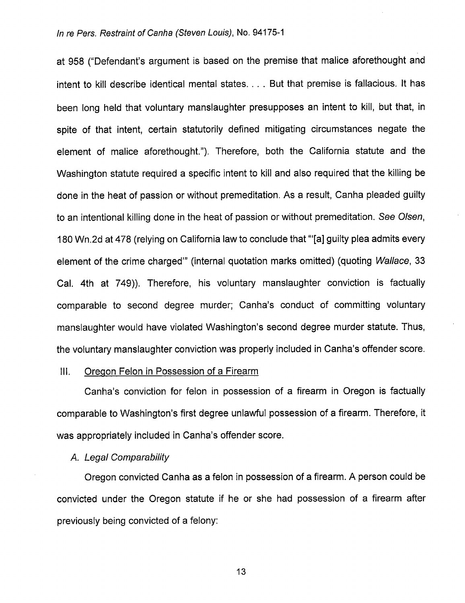at 958 ("Defendant's argument is based on the premise that malice aforethought and intent to kill describe identical mental states... . But that premise is fallacious. It has been long held that voluntary manslaughter presupposes an intent to kill, but that, in spite of that intent, certain statutorily defined mitigating circumstances negate the element of malice aforethought."). Therefore, both the California statute and the Washington statute required a specific intent to kill and also required that the killing be done in the heat of passion or without premeditation. As a result, Canha pleaded guilty to an intentional killing done in the heat of passion or without premeditation. See Oisen, 180 Wn.2d at 478 (relying on California law to conclude that '"[a] guilty plea admits every element of the crime charged'" (internal quotation marks omitted) (quoting Wallace, 33 Cal. 4th at 749)). Therefore, his voluntary manslaughter conviction is factually comparable to second degree murder; Canha's conduct of committing voluntary manslaughter would have violated Washington's second degree murder statute. Thus, the voluntary manslaughter conviction was properly included in Canha's offender score.

#### III. Oregon Felon in Possession of a Firearm

Canha's conviction for felon in possession of a firearm in Oregon is factually comparable to Washington's first degree unlawful possession of a firearm. Therefore, it was appropriately included in Canha's offender score.

#### A. Legal Comparability

Oregon convicted Canha as a felon in possession of a firearm. A person could be convicted under the Oregon statute if he or she had possession of a firearm after previously being convicted of a felony: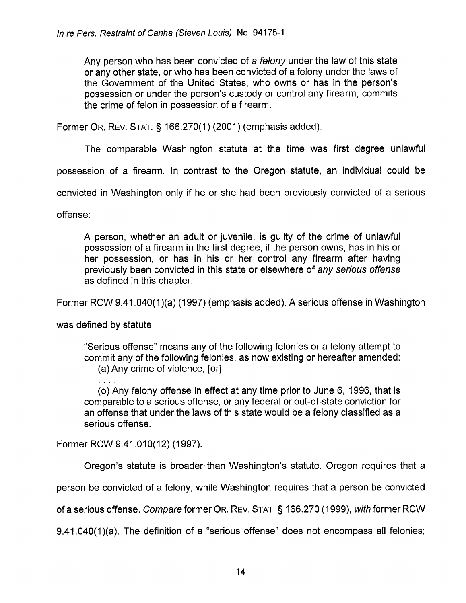Any person who has been convicted of a felony under the law of this state or any other state, or who has been convicted of a felony under the laws of the Government of the United States, who owns or has in the person's possession or under the person's custody or control any firearm, commits the crime of felon in possession of a firearm.

Former Or. Rev. Stat. § 166.270(1) (2001) (emphasis added).

The comparable Washington statute at the time was first degree unlawful

possession of a firearm. In contrast to the Oregon statute, an individual could be

convicted in Washington only if he or she had been previously convicted of a serious

offense:

A person, whether an adult or juvenile, is guilty of the crime of unlawful possession of a firearm in the first degree, if the person owns, has in his or her possession, or has in his or her control any firearm after having previously been convicted in this state or elsewhere of any serious offense as defined in this chapter.

Former RCW 9.41.040(1)(a) (1997) (emphasis added). A serious offense in Washington

was defined by statute:

"Serious offense" means any of the following felonies or a felony attempt to commit any of the following felonies, as now existing or hereafter amended:

(a) Any crime of violence; [or]

(o) Any felony offense in effect at any time prior to June 6, 1996, that is comparable to a serious offense, or any federal or out-of-state conviction for an offense that under the laws of this state would be a felony classified as a serious offense.

Former RCW 9.41.010(12) (1997).

Oregon's statute is broader than Washington's statute. Oregon requires that a

person be convicted of a felony, while Washington requires that a person be convicted

of a serious offense. Compare former OR. REV. STAT. § 166.270 (1999), with former RCW

9.41.040(1)(a). The definition of a "serious offense" does not encompass all felonies;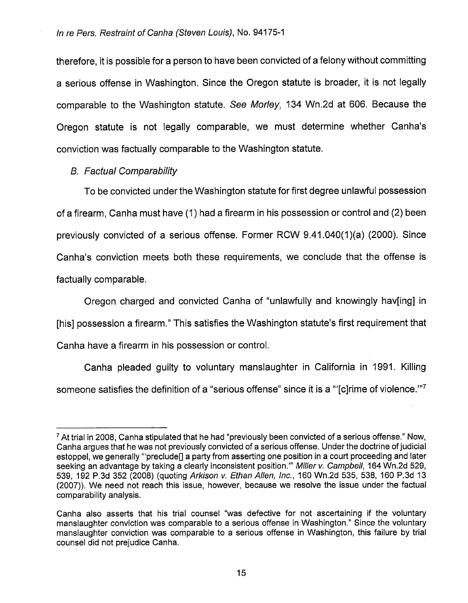therefore, it is possible for a person to have been convicted of a felony without committing a serious offense in Washington. Since the Oregon statute is broader, it is not legally comparable to the Washington statute. See Morley, 134 Wn.2d at 606. Because the Oregon statute is not legally comparable, we must determine whether Canha's conviction was factually comparable to the Washington statute.

# B. Factual Comparability

To be convicted under the Washington statute for first degree unlawful possession of a firearm, Canha must have (1) had a firearm in his possession or control and (2) been previously convicted of a serious offense. Former ROW 9.41.040(1 )(a) (2000). Since Canha's conviction meets both these requirements, we conclude that the offense is factually comparable.

Oregon charged and convicted Canha of "unlawfully and knowingly hav[ing] in [his] possession a firearm." This satisfies the Washington statute's first requirement that Canha have a firearm in his possession or control.

Canha pleaded guilty to voluntary manslaughter in California in 1991. Killing someone satisfies the definition of a "serious offense" since it is a "'[c]rime of violence."<sup>7</sup>

 $\frac{7}{1}$  At trial in 2008, Canha stipulated that he had "previously been convicted of a serious offense." Now, Canha argues that he was not previously convicted of a serious offense. Under the doctrine of judicial estoppel, we generally "'preclude<sup>[]</sup> a party from asserting one position in a court proceeding and later seeking an advantage by taking a clearly inconsistent position." Miller v. Campbell, 164 Wn.2d 529, 539, 192 P.3d 352 (2008) (quoting Arkison v. Ethan Allen, Inc., 160 Wn.2d 535, 538, 160 P.3d 13 (2007)). We need not reach this issue, however, because we resolve the issue under the factual comparability analysis.

Canha also asserts that his trial counsel "was defective for not ascertaining if the voluntary manslaughter conviction was comparable to a serious offense in Washington." Since the voluntary manslaughter conviction was comparable to a serious offense in Washington, this failure by trial counsel did not prejudice Canha.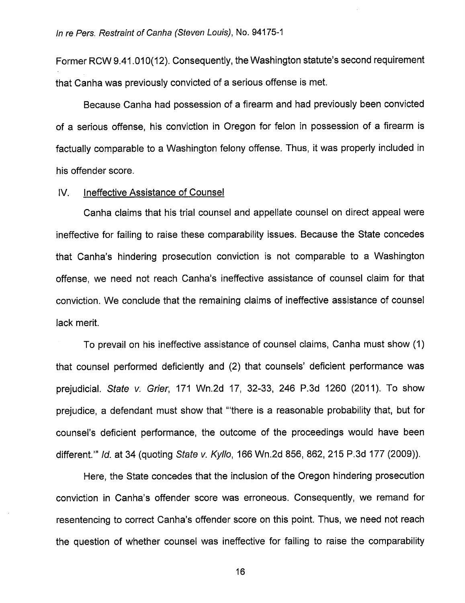Former RCW 9.41.010(12). Consequently, the Washington statute's second requirement that Canha was previously convicted of a serious offense is met.

Because Canha had possession of a firearm and had previously been convicted of a serious offense, his conviction in Oregon for felon in possession of a firearm is factually comparable to a Washington felony offense. Thus, it was properly included in his offender score.

## IV. Ineffective Assistance of Counsel

Canha claims that his trial counsel and appellate counsel on direct appeal were ineffective for failing to raise these comparability issues. Because the State concedes that Canha's hindering prosecution conviction is not comparable to a Washington offense, we need not reach Canha's ineffective assistance of counsel claim for that conviction. We conclude that the remaining claims of ineffective assistance of counsel lack merit.

To prevail on his ineffective assistance of counsel claims, Canha must show (1) that counsel performed deficiently and (2) that counsels' deficient performance was prejudicial. State v. Grier, 171 Wn.2d 17, 32-33, 246 P.3d 1260 (2011). To show prejudice, a defendant must show that '"there is a reasonable probability that, but for counsel's deficient performance, the outcome of the proceedings would have been different.'" Id. at 34 (quoting State v. Kyllo, 166 Wn.2d 856, 862, 215 P.3d 177 (2009)).

Here, the State concedes that the inclusion of the Oregon hindering prosecution conviction in Canha's offender score was erroneous. Consequently, we remand for resentencing to correct Canha's offender score on this point. Thus, we need not reach the question of whether counsel was ineffective for failing to raise the comparability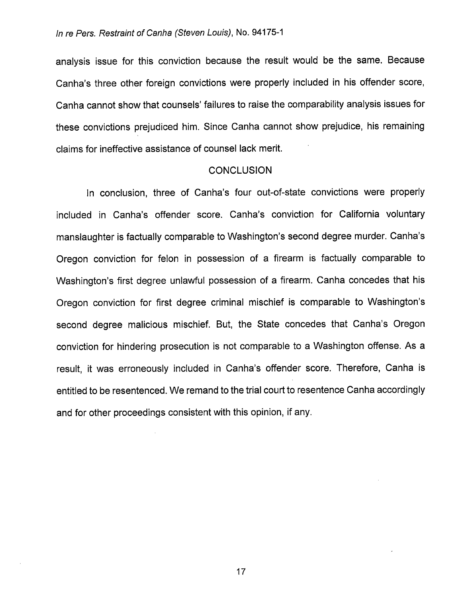analysis issue for this conviction because the result would be the same. Because Canha's three other foreign convictions were properly included in his offender score, Canha cannot show that counsels' failures to raise the comparability analysis issues for these convictions prejudiced him. Since Canha cannot show prejudice, his remaining claims for ineffective assistance of counsel lack merit.

### **CONCLUSION**

In conclusion, three of Canha's four out-of-state convictions were properly included in Canha's offender score. Canha's conviction for California voluntary manslaughter is factually comparable to Washington's second degree murder. Canha's Oregon conviction for felon in possession of a firearm is factually comparable to Washington's first degree unlawful possession of a firearm. Canha concedes that his Oregon conviction for first degree criminal mischief is comparable to Washington's second degree malicious mischief. But, the State concedes that Canha's Oregon conviction for hindering prosecution is not comparable to a Washington offense. As a result, it was erroneously included in Canha's offender score. Therefore, Canha is entitled to be resentenced. We remand to the trial court to resentence Canha accordingly and for other proceedings consistent with this opinion, if any.